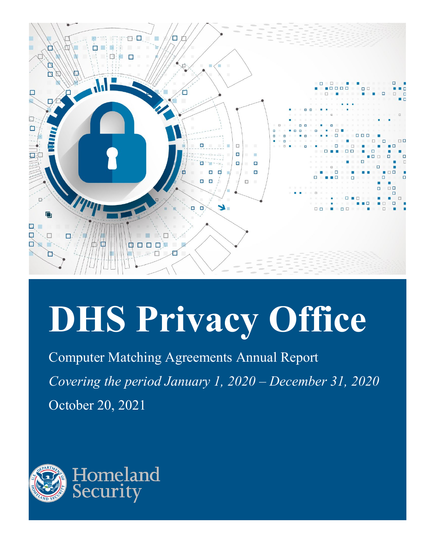

# **DHS Privacy Office**

 *Covering the period January 1, 2020 – December 31, 2020*  Computer Matching Agreements Annual Report October 20, 2021

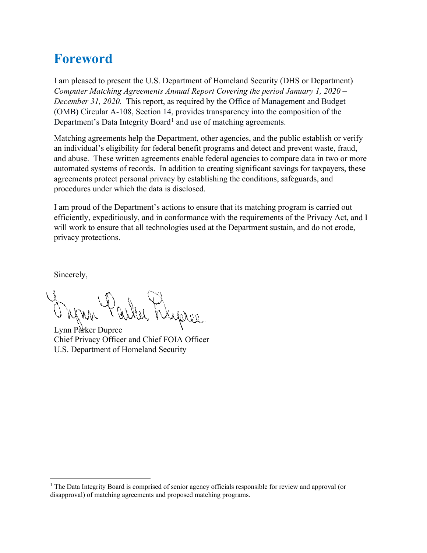# <span id="page-1-1"></span>**Foreword**

 *December 31, 2020*. This report, as required by the Office of Management and Budget I am pleased to present the U.S. Department of Homeland Security (DHS or Department) *Computer Matching Agreements Annual Report Covering the period January 1, 2020 –*  (OMB) Circular A-108, Section 14, provides transparency into the composition of the Department's Data Integrity Board<sup>1</sup> and use of matching agreements.

 Matching agreements help the Department, other agencies, and the public establish or verify procedures under which the data is disclosed. an individual's eligibility for federal benefit programs and detect and prevent waste, fraud, and abuse. These written agreements enable federal agencies to compare data in two or more automated systems of records. In addition to creating significant savings for taxpayers, these agreements protect personal privacy by establishing the conditions, safeguards, and

 I am proud of the Department's actions to ensure that its matching program is carried out efficiently, expeditiously, and in conformance with the requirements of the Privacy Act, and I will work to ensure that all technologies used at the Department sustain, and do not erode, privacy protections.

Sincerely,

her Wapree

Lynn Parker Dupree Chief Privacy Officer and Chief FOIA Officer U.S. Department of Homeland Security

<span id="page-1-0"></span><sup>&</sup>lt;sup>1</sup> The Data Integrity Board is comprised of senior agency officials responsible for review and approval (or disapproval) of matching agreements and proposed matching programs.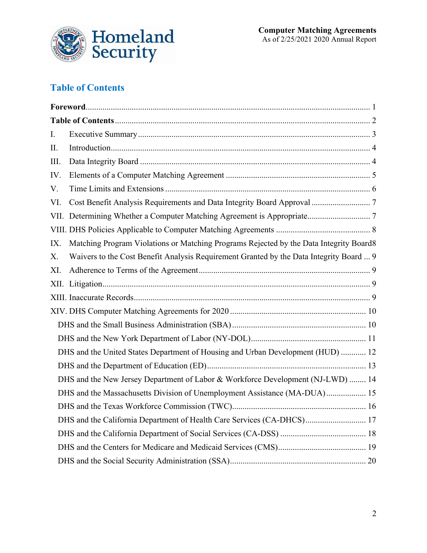

#### <span id="page-2-0"></span>**Table of Contents**

| I.   |                                                                                         |  |
|------|-----------------------------------------------------------------------------------------|--|
| II.  |                                                                                         |  |
| III. |                                                                                         |  |
| IV.  |                                                                                         |  |
| V.   |                                                                                         |  |
| VI.  |                                                                                         |  |
|      |                                                                                         |  |
|      |                                                                                         |  |
| IX.  | Matching Program Violations or Matching Programs Rejected by the Data Integrity Board8  |  |
| X.   | Waivers to the Cost Benefit Analysis Requirement Granted by the Data Integrity Board  9 |  |
| XI.  |                                                                                         |  |
|      |                                                                                         |  |
|      |                                                                                         |  |
|      |                                                                                         |  |
|      |                                                                                         |  |
|      |                                                                                         |  |
|      | DHS and the United States Department of Housing and Urban Development (HUD)  12         |  |
|      |                                                                                         |  |
|      | DHS and the New Jersey Department of Labor & Workforce Development (NJ-LWD)  14         |  |
|      | DHS and the Massachusetts Division of Unemployment Assistance (MA-DUA) 15               |  |
|      |                                                                                         |  |
|      | DHS and the California Department of Health Care Services (CA-DHCS) 17                  |  |
|      |                                                                                         |  |
|      |                                                                                         |  |
|      |                                                                                         |  |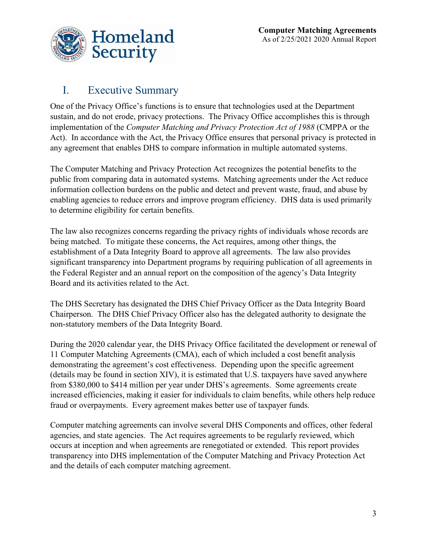

#### <span id="page-3-0"></span>I. Executive Summary

 Act). In accordance with the Act, the Privacy Office ensures that personal privacy is protected in any agreement that enables DHS to compare information in multiple automated systems. One of the Privacy Office's functions is to ensure that technologies used at the Department sustain, and do not erode, privacy protections. The Privacy Office accomplishes this is through implementation of the *Computer Matching and Privacy Protection Act of 1988* (CMPPA or the

 public from comparing data in automated systems. Matching agreements under the Act reduce enabling agencies to reduce errors and improve program efficiency. DHS data is used primarily to determine eligibility for certain benefits. The Computer Matching and Privacy Protection Act recognizes the potential benefits to the information collection burdens on the public and detect and prevent waste, fraud, and abuse by

The law also recognizes concerns regarding the privacy rights of individuals whose records are being matched. To mitigate these concerns, the Act requires, among other things, the establishment of a Data Integrity Board to approve all agreements. The law also provides significant transparency into Department programs by requiring publication of all agreements in the Federal Register and an annual report on the composition of the agency's Data Integrity Board and its activities related to the Act.

 non-statutory members of the Data Integrity Board. The DHS Secretary has designated the DHS Chief Privacy Officer as the Data Integrity Board Chairperson. The DHS Chief Privacy Officer also has the delegated authority to designate the

 During the 2020 calendar year, the DHS Privacy Office facilitated the development or renewal of demonstrating the agreement's cost effectiveness. Depending upon the specific agreement from \$380,000 to \$414 million per year under DHS's agreements. Some agreements create 11 Computer Matching Agreements (CMA), each of which included a cost benefit analysis (details may be found in section XIV), it is estimated that U.S. taxpayers have saved anywhere increased efficiencies, making it easier for individuals to claim benefits, while others help reduce fraud or overpayments. Every agreement makes better use of taxpayer funds.

 occurs at inception and when agreements are renegotiated or extended. This report provides Computer matching agreements can involve several DHS Components and offices, other federal agencies, and state agencies. The Act requires agreements to be regularly reviewed, which transparency into DHS implementation of the Computer Matching and Privacy Protection Act and the details of each computer matching agreement.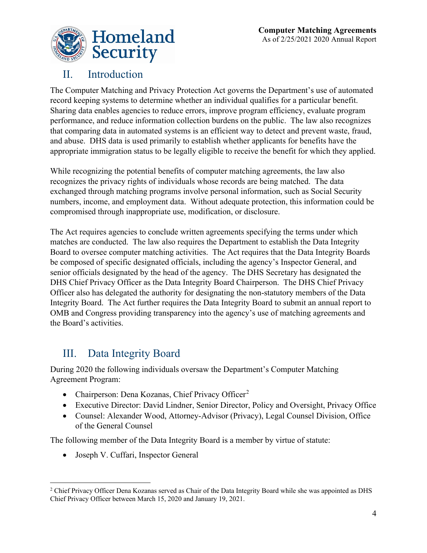

#### <span id="page-4-0"></span>II. Introduction

 The Computer Matching and Privacy Protection Act governs the Department's use of automated record keeping systems to determine whether an individual qualifies for a particular benefit. Sharing data enables agencies to reduce errors, improve program efficiency, evaluate program performance, and reduce information collection burdens on the public. The law also recognizes that comparing data in automated systems is an efficient way to detect and prevent waste, fraud, appropriate immigration status to be legally eligible to receive the benefit for which they applied. and abuse. DHS data is used primarily to establish whether applicants for benefits have the

 While recognizing the potential benefits of computer matching agreements, the law also recognizes the privacy rights of individuals whose records are being matched. The data exchanged through matching programs involve personal information, such as Social Security numbers, income, and employment data. Without adequate protection, this information could be compromised through inappropriate use, modification, or disclosure.

 matches are conducted. The law also requires the Department to establish the Data Integrity Board to oversee computer matching activities. The Act requires that the Data Integrity Boards be composed of specific designated officials, including the agency's Inspector General, and senior officials designated by the head of the agency. The DHS Secretary has designated the Officer also has delegated the authority for designating the non-statutory members of the Data the Board's activities. The Act requires agencies to conclude written agreements specifying the terms under which DHS Chief Privacy Officer as the Data Integrity Board Chairperson. The DHS Chief Privacy Integrity Board. The Act further requires the Data Integrity Board to submit an annual report to OMB and Congress providing transparency into the agency's use of matching agreements and

## <span id="page-4-1"></span>III. Data Integrity Board

 Agreement Program: During 2020 the following individuals oversaw the Department's Computer Matching

- Chairperson: Dena Kozanas, Chief Privacy Officer<sup>[2](#page-4-2)</sup>
- Executive Director: David Lindner, Senior Director, Policy and Oversight, Privacy Office
- Counsel: Alexander Wood, Attorney-Advisor (Privacy), Legal Counsel Division, Office of the General Counsel

The following member of the Data Integrity Board is a member by virtue of statute:

• Joseph V. Cuffari, Inspector General

<span id="page-4-2"></span><sup>•</sup> Joseph V. Cuffari, Inspector General<br><sup>2</sup> Chief Privacy Officer Dena Kozanas served as Chair of the Data Integrity Board while she was appointed as DHS Chief Privacy Officer between March 15, 2020 and January 19, 2021.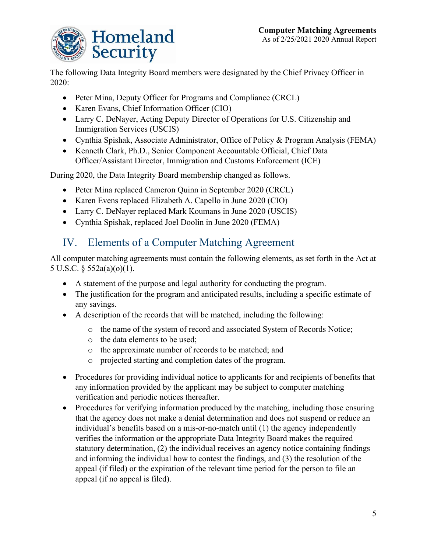

The following Data Integrity Board members were designated by the Chief Privacy Officer in 2020:

- Peter Mina, Deputy Officer for Programs and Compliance (CRCL)
- Karen Evans, Chief Information Officer (CIO)
- Larry C. DeNayer, Acting Deputy Director of Operations for U.S. Citizenship and Immigration Services (USCIS)
- Cynthia Spishak, Associate Administrator, Office of Policy & Program Analysis (FEMA)
- Officer/Assistant Director, Immigration and Customs Enforcement (ICE) • Kenneth Clark, Ph.D., Senior Component Accountable Official, Chief Data

During 2020, the Data Integrity Board membership changed as follows.

- Peter Mina replaced Cameron Quinn in September 2020 (CRCL)
- Karen Evens replaced Elizabeth A. Capello in June 2020 (CIO)
- Larry C. DeNayer replaced Mark Koumans in June 2020 (USCIS)
- Cynthia Spishak, replaced Joel Doolin in June 2020 (FEMA)

## <span id="page-5-0"></span>IV. Elements of a Computer Matching Agreement

 All computer matching agreements must contain the following elements, as set forth in the Act at 5 U.S.C. § 552a(a)(o)(1).

- A statement of the purpose and legal authority for conducting the program.
- The justification for the program and anticipated results, including a specific estimate of any savings.
- A description of the records that will be matched, including the following:
	- o the name of the system of record and associated System of Records Notice;
	- o the data elements to be used;
	- o the approximate number of records to be matched; and
	- o projected starting and completion dates of the program.
- • Procedures for providing individual notice to applicants for and recipients of benefits that any information provided by the applicant may be subject to computer matching verification and periodic notices thereafter.
- individual's benefits based on a mis-or-no-match until (1) the agency independently statutory determination, (2) the individual receives an agency notice containing findings and informing the individual how to contest the findings, and (3) the resolution of the • Procedures for verifying information produced by the matching, including those ensuring that the agency does not make a denial determination and does not suspend or reduce an verifies the information or the appropriate Data Integrity Board makes the required appeal (if filed) or the expiration of the relevant time period for the person to file an appeal (if no appeal is filed).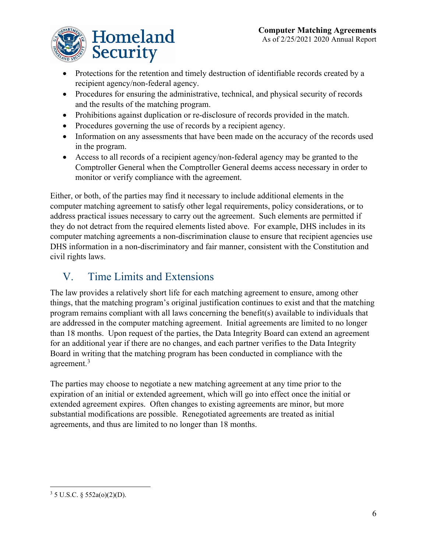

- • Protections for the retention and timely destruction of identifiable records created by a recipient agency/non-federal agency.
- Procedures for ensuring the administrative, technical, and physical security of records and the results of the matching program.
- Prohibitions against duplication or re-disclosure of records provided in the match.
- Procedures governing the use of records by a recipient agency.
- Information on any assessments that have been made on the accuracy of the records used in the program.
- Access to all records of a recipient agency/non-federal agency may be granted to the Comptroller General when the Comptroller General deems access necessary in order to monitor or verify compliance with the agreement.

Either, or both, of the parties may find it necessary to include additional elements in the computer matching agreement to satisfy other legal requirements, policy considerations, or to address practical issues necessary to carry out the agreement. Such elements are permitted if they do not detract from the required elements listed above. For example, DHS includes in its computer matching agreements a non-discrimination clause to ensure that recipient agencies use DHS information in a non-discriminatory and fair manner, consistent with the Constitution and civil rights laws.

### <span id="page-6-0"></span>V. Time Limits and Extensions

 are addressed in the computer matching agreement. Initial agreements are limited to no longer The law provides a relatively short life for each matching agreement to ensure, among other things, that the matching program's original justification continues to exist and that the matching program remains compliant with all laws concerning the benefit(s) available to individuals that than 18 months. Upon request of the parties, the Data Integrity Board can extend an agreement for an additional year if there are no changes, and each partner verifies to the Data Integrity Board in writing that the matching program has been conducted in compliance with the agreement.<sup>[3](#page-6-1)</sup>

 The parties may choose to negotiate a new matching agreement at any time prior to the expiration of an initial or extended agreement, which will go into effect once the initial or extended agreement expires. Often changes to existing agreements are minor, but more substantial modifications are possible. Renegotiated agreements are treated as initial agreements, and thus are limited to no longer than 18 months.

<span id="page-6-1"></span> $3 \text{ 5 U.S.C. }$  § 552a(o)(2)(D).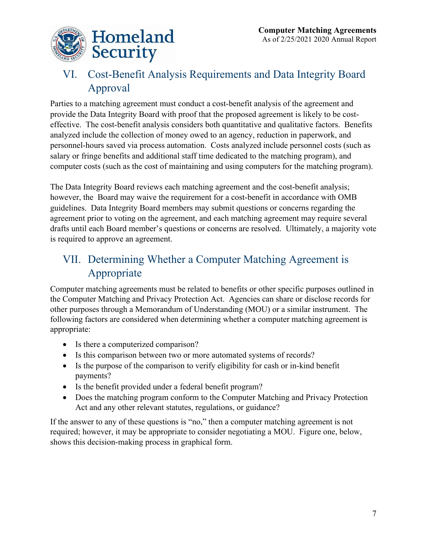

### <span id="page-7-0"></span>VI. Cost-Benefit Analysis Requirements and Data Integrity Board Approval

 effective. The cost-benefit analysis considers both quantitative and qualitative factors. Benefits personnel-hours saved via process automation. Costs analyzed include personnel costs (such as salary or fringe benefits and additional staff time dedicated to the matching program), and Parties to a matching agreement must conduct a cost-benefit analysis of the agreement and provide the Data Integrity Board with proof that the proposed agreement is likely to be costanalyzed include the collection of money owed to an agency, reduction in paperwork, and computer costs (such as the cost of maintaining and using computers for the matching program).

 however, the Board may waive the requirement for a cost-benefit in accordance with OMB agreement prior to voting on the agreement, and each matching agreement may require several The Data Integrity Board reviews each matching agreement and the cost-benefit analysis; guidelines. Data Integrity Board members may submit questions or concerns regarding the drafts until each Board member's questions or concerns are resolved. Ultimately, a majority vote is required to approve an agreement.

# <span id="page-7-1"></span>VII. Determining Whether a Computer Matching Agreement is Appropriate

 following factors are considered when determining whether a computer matching agreement is Computer matching agreements must be related to benefits or other specific purposes outlined in the Computer Matching and Privacy Protection Act. Agencies can share or disclose records for other purposes through a Memorandum of Understanding (MOU) or a similar instrument. The appropriate:

- Is there a computerized comparison?
- Is this comparison between two or more automated systems of records?
- • Is the purpose of the comparison to verify eligibility for cash or in-kind benefit payments?
- Is the benefit provided under a federal benefit program?
- • Does the matching program conform to the Computer Matching and Privacy Protection Act and any other relevant statutes, regulations, or guidance?

 If the answer to any of these questions is "no," then a computer matching agreement is not required; however, it may be appropriate to consider negotiating a MOU. Figure one, below, shows this decision-making process in graphical form.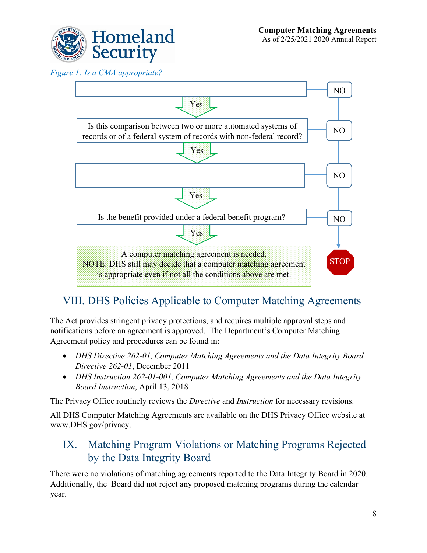

*Figure 1: Is a CMA appropriate?* 



# <span id="page-8-0"></span>VIII. DHS Policies Applicable to Computer Matching Agreements

 The Act provides stringent privacy protections, and requires multiple approval steps and notifications before an agreement is approved. The Department's Computer Matching Agreement policy and procedures can be found in:

- *DHS Directive 262-01, Computer Matching Agreements and the Data Integrity Board Directive 262-01*, December 2011
- *DHS Instruction 262-01-001, Computer Matching Agreements and the Data Integrity Board Instruction*, April 13, 2018

The Privacy Office routinely reviews the *Directive* and *Instruction* for necessary revisions.

 All DHS Computer Matching Agreements are available on the DHS Privacy Office website at [www.DHS.gov/privacy.](https://www.dhs.gov/publication/computer-matching-agreements-and-notices) 

#### <span id="page-8-1"></span>IX. Matching Program Violations or Matching Programs Rejected by the Data Integrity Board

 Additionally, the Board did not reject any proposed matching programs during the calendar There were no violations of matching agreements reported to the Data Integrity Board in 2020. year.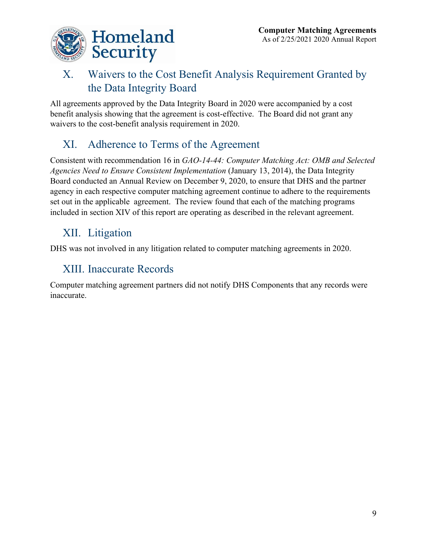

## <span id="page-9-0"></span> X. Waivers to the Cost Benefit Analysis Requirement Granted by the Data Integrity Board

All agreements approved by the Data Integrity Board in 2020 were accompanied by a cost benefit analysis showing that the agreement is cost-effective. The Board did not grant any waivers to the cost-benefit analysis requirement in 2020.

# <span id="page-9-1"></span>XI. Adherence to Terms of the Agreement

 included in section XIV of this report are operating as described in the relevant agreement. Consistent with recommendation 16 in *GAO-14-44: Computer Matching Act: OMB and Selected Agencies Need to Ensure Consistent Implementation* (January 13, 2014), the Data Integrity Board conducted an Annual Review on December 9, 2020, to ensure that DHS and the partner agency in each respective computer matching agreement continue to adhere to the requirements set out in the applicable agreement. The review found that each of the matching programs

# <span id="page-9-2"></span>XII. Litigation

DHS was not involved in any litigation related to computer matching agreements in 2020.

# <span id="page-9-3"></span>XIII. Inaccurate Records

Computer matching agreement partners did not notify DHS Components that any records were inaccurate.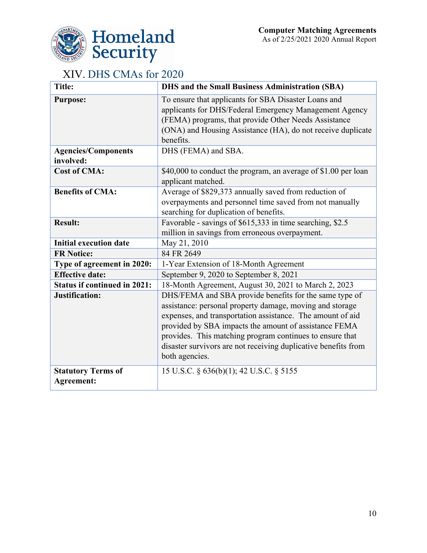

#### <span id="page-10-1"></span>XIV. DHS CMAs for 2020

<span id="page-10-0"></span>

| <b>Title:</b>                                  | DHS and the Small Business Administration (SBA)                                                                                                                                                                                                                                                                                                                                           |
|------------------------------------------------|-------------------------------------------------------------------------------------------------------------------------------------------------------------------------------------------------------------------------------------------------------------------------------------------------------------------------------------------------------------------------------------------|
| <b>Purpose:</b>                                | To ensure that applicants for SBA Disaster Loans and<br>applicants for DHS/Federal Emergency Management Agency<br>(FEMA) programs, that provide Other Needs Assistance<br>(ONA) and Housing Assistance (HA), do not receive duplicate<br>benefits.                                                                                                                                        |
| <b>Agencies/Components</b><br>involved:        | DHS (FEMA) and SBA.                                                                                                                                                                                                                                                                                                                                                                       |
| <b>Cost of CMA:</b>                            | \$40,000 to conduct the program, an average of \$1.00 per loan<br>applicant matched.                                                                                                                                                                                                                                                                                                      |
| <b>Benefits of CMA:</b>                        | Average of \$829,373 annually saved from reduction of<br>overpayments and personnel time saved from not manually<br>searching for duplication of benefits.                                                                                                                                                                                                                                |
| <b>Result:</b>                                 | Favorable - savings of \$615,333 in time searching, \$2.5<br>million in savings from erroneous overpayment.                                                                                                                                                                                                                                                                               |
| <b>Initial execution date</b>                  | May 21, 2010                                                                                                                                                                                                                                                                                                                                                                              |
| <b>FR Notice:</b>                              | 84 FR 2649                                                                                                                                                                                                                                                                                                                                                                                |
| Type of agreement in 2020:                     | 1-Year Extension of 18-Month Agreement                                                                                                                                                                                                                                                                                                                                                    |
| <b>Effective date:</b>                         | September 9, 2020 to September 8, 2021                                                                                                                                                                                                                                                                                                                                                    |
| <b>Status if continued in 2021:</b>            | 18-Month Agreement, August 30, 2021 to March 2, 2023                                                                                                                                                                                                                                                                                                                                      |
| Justification:                                 | DHS/FEMA and SBA provide benefits for the same type of<br>assistance: personal property damage, moving and storage<br>expenses, and transportation assistance. The amount of aid<br>provided by SBA impacts the amount of assistance FEMA<br>provides. This matching program continues to ensure that<br>disaster survivors are not receiving duplicative benefits from<br>both agencies. |
| <b>Statutory Terms of</b><br><b>Agreement:</b> | 15 U.S.C. § 636(b)(1); 42 U.S.C. § 5155                                                                                                                                                                                                                                                                                                                                                   |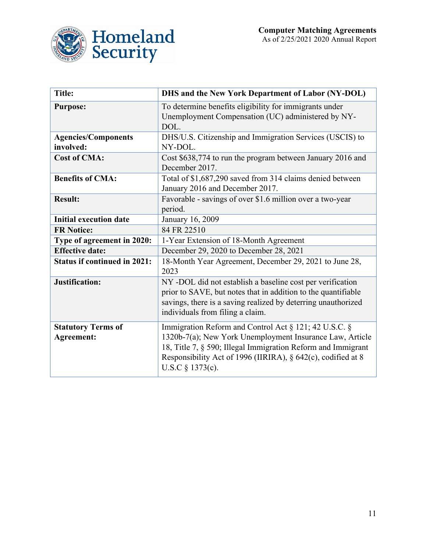



<span id="page-11-0"></span>

| <b>Title:</b>                                  | <b>DHS and the New York Department of Labor (NY-DOL)</b>                                                                                                                                                                                                                |
|------------------------------------------------|-------------------------------------------------------------------------------------------------------------------------------------------------------------------------------------------------------------------------------------------------------------------------|
| <b>Purpose:</b>                                | To determine benefits eligibility for immigrants under<br>Unemployment Compensation (UC) administered by NY-<br>DOL.                                                                                                                                                    |
| <b>Agencies/Components</b><br>involved:        | DHS/U.S. Citizenship and Immigration Services (USCIS) to<br>NY-DOL.                                                                                                                                                                                                     |
| <b>Cost of CMA:</b>                            | Cost \$638,774 to run the program between January 2016 and<br>December 2017.                                                                                                                                                                                            |
| <b>Benefits of CMA:</b>                        | Total of \$1,687,290 saved from 314 claims denied between<br>January 2016 and December 2017.                                                                                                                                                                            |
| <b>Result:</b>                                 | Favorable - savings of over \$1.6 million over a two-year<br>period.                                                                                                                                                                                                    |
| <b>Initial execution date</b>                  | January 16, 2009                                                                                                                                                                                                                                                        |
| <b>FR Notice:</b>                              | 84 FR 22510                                                                                                                                                                                                                                                             |
| Type of agreement in 2020:                     | 1-Year Extension of 18-Month Agreement                                                                                                                                                                                                                                  |
| <b>Effective date:</b>                         | December 29, 2020 to December 28, 2021                                                                                                                                                                                                                                  |
| <b>Status if continued in 2021:</b>            | 18-Month Year Agreement, December 29, 2021 to June 28,<br>2023                                                                                                                                                                                                          |
| Justification:                                 | NY -DOL did not establish a baseline cost per verification<br>prior to SAVE, but notes that in addition to the quantifiable<br>savings, there is a saving realized by deterring unauthorized<br>individuals from filing a claim.                                        |
| <b>Statutory Terms of</b><br><b>Agreement:</b> | Immigration Reform and Control Act § 121; 42 U.S.C. §<br>1320b-7(a); New York Unemployment Insurance Law, Article<br>18, Title 7, § 590; Illegal Immigration Reform and Immigrant<br>Responsibility Act of 1996 (IIRIRA), § 642(c), codified at 8<br>U.S.C $§$ 1373(c). |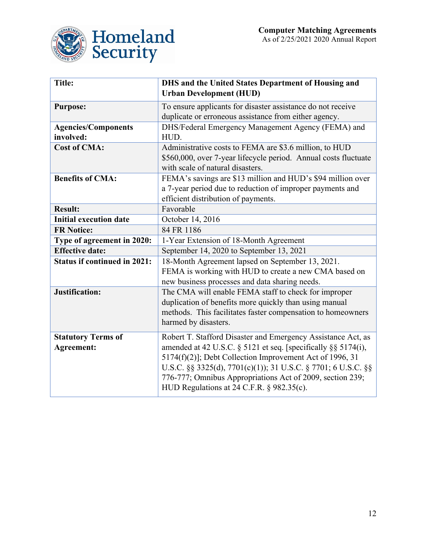

<span id="page-12-0"></span>

| <b>Title:</b>                       | DHS and the United States Department of Housing and<br><b>Urban Development (HUD)</b> |
|-------------------------------------|---------------------------------------------------------------------------------------|
| <b>Purpose:</b>                     | To ensure applicants for disaster assistance do not receive                           |
|                                     | duplicate or erroneous assistance from either agency.                                 |
| <b>Agencies/Components</b>          | DHS/Federal Emergency Management Agency (FEMA) and                                    |
| involved:                           | HUD.                                                                                  |
| <b>Cost of CMA:</b>                 | Administrative costs to FEMA are \$3.6 million, to HUD                                |
|                                     | \$560,000, over 7-year lifecycle period. Annual costs fluctuate                       |
|                                     | with scale of natural disasters.                                                      |
| <b>Benefits of CMA:</b>             | FEMA's savings are \$13 million and HUD's \$94 million over                           |
|                                     | a 7-year period due to reduction of improper payments and                             |
|                                     | efficient distribution of payments.                                                   |
| <b>Result:</b>                      | Favorable                                                                             |
| <b>Initial execution date</b>       | October 14, 2016                                                                      |
| <b>FR Notice:</b>                   | 84 FR 1186                                                                            |
| Type of agreement in 2020:          | 1-Year Extension of 18-Month Agreement                                                |
| <b>Effective date:</b>              | September 14, 2020 to September 13, 2021                                              |
| <b>Status if continued in 2021:</b> | 18-Month Agreement lapsed on September 13, 2021.                                      |
|                                     | FEMA is working with HUD to create a new CMA based on                                 |
|                                     | new business processes and data sharing needs.                                        |
| Justification:                      | The CMA will enable FEMA staff to check for improper                                  |
|                                     | duplication of benefits more quickly than using manual                                |
|                                     | methods. This facilitates faster compensation to homeowners                           |
|                                     | harmed by disasters.                                                                  |
| <b>Statutory Terms of</b>           | Robert T. Stafford Disaster and Emergency Assistance Act, as                          |
| <b>Agreement:</b>                   | amended at 42 U.S.C. $\S$ 5121 et seq. [specifically $\S$ § 5174(i),                  |
|                                     | 5174(f)(2)]; Debt Collection Improvement Act of 1996, 31                              |
|                                     | U.S.C. §§ 3325(d), 7701(c)(1)); 31 U.S.C. § 7701; 6 U.S.C. §§                         |
|                                     | 776-777; Omnibus Appropriations Act of 2009, section 239;                             |
|                                     | HUD Regulations at 24 C.F.R. § 982.35(c).                                             |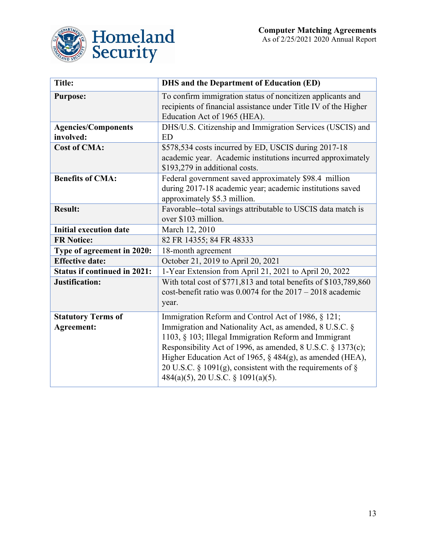

<span id="page-13-0"></span>

| <b>Title:</b>                                  | <b>DHS</b> and the Department of Education (ED)                                                                                                                                                                                                                                                                                                                                                        |
|------------------------------------------------|--------------------------------------------------------------------------------------------------------------------------------------------------------------------------------------------------------------------------------------------------------------------------------------------------------------------------------------------------------------------------------------------------------|
| <b>Purpose:</b>                                | To confirm immigration status of noncitizen applicants and<br>recipients of financial assistance under Title IV of the Higher<br>Education Act of 1965 (HEA).                                                                                                                                                                                                                                          |
| <b>Agencies/Components</b><br>involved:        | DHS/U.S. Citizenship and Immigration Services (USCIS) and<br><b>ED</b>                                                                                                                                                                                                                                                                                                                                 |
| <b>Cost of CMA:</b>                            | \$578,534 costs incurred by ED, USCIS during 2017-18<br>academic year. Academic institutions incurred approximately<br>\$193,279 in additional costs.                                                                                                                                                                                                                                                  |
| <b>Benefits of CMA:</b>                        | Federal government saved approximately \$98.4 million<br>during 2017-18 academic year; academic institutions saved<br>approximately \$5.3 million.                                                                                                                                                                                                                                                     |
| <b>Result:</b>                                 | Favorable--total savings attributable to USCIS data match is<br>over \$103 million.                                                                                                                                                                                                                                                                                                                    |
| <b>Initial execution date</b>                  | March 12, 2010                                                                                                                                                                                                                                                                                                                                                                                         |
| <b>FR Notice:</b>                              | 82 FR 14355; 84 FR 48333                                                                                                                                                                                                                                                                                                                                                                               |
| Type of agreement in 2020:                     | 18-month agreement                                                                                                                                                                                                                                                                                                                                                                                     |
| <b>Effective date:</b>                         | October 21, 2019 to April 20, 2021                                                                                                                                                                                                                                                                                                                                                                     |
| <b>Status if continued in 2021:</b>            | 1-Year Extension from April 21, 2021 to April 20, 2022                                                                                                                                                                                                                                                                                                                                                 |
| Justification:                                 | With total cost of \$771,813 and total benefits of \$103,789,860<br>cost-benefit ratio was $0.0074$ for the $2017 - 2018$ academic<br>year.                                                                                                                                                                                                                                                            |
| <b>Statutory Terms of</b><br><b>Agreement:</b> | Immigration Reform and Control Act of 1986, § 121;<br>Immigration and Nationality Act, as amended, 8 U.S.C. §<br>1103, § 103; Illegal Immigration Reform and Immigrant<br>Responsibility Act of 1996, as amended, 8 U.S.C. § 1373(c);<br>Higher Education Act of 1965, § 484(g), as amended (HEA),<br>20 U.S.C. § 1091(g), consistent with the requirements of §<br>484(a)(5), 20 U.S.C. § 1091(a)(5). |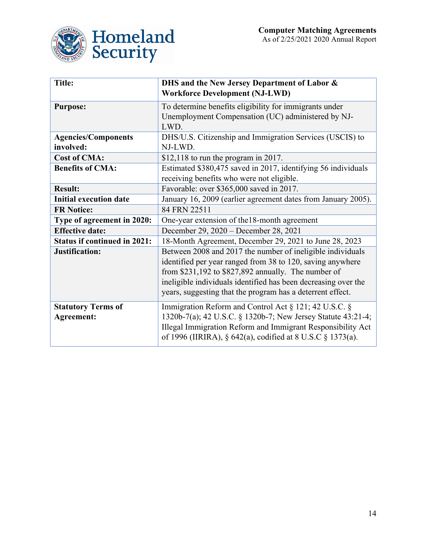

<span id="page-14-0"></span>

| <b>Title:</b>                           | DHS and the New Jersey Department of Labor &<br><b>Workforce Development (NJ-LWD)</b>                                                                                                                                                                                                                           |
|-----------------------------------------|-----------------------------------------------------------------------------------------------------------------------------------------------------------------------------------------------------------------------------------------------------------------------------------------------------------------|
| <b>Purpose:</b>                         | To determine benefits eligibility for immigrants under                                                                                                                                                                                                                                                          |
|                                         | Unemployment Compensation (UC) administered by NJ-<br>LWD.                                                                                                                                                                                                                                                      |
| <b>Agencies/Components</b><br>involved: | DHS/U.S. Citizenship and Immigration Services (USCIS) to<br>NJ-LWD.                                                                                                                                                                                                                                             |
| <b>Cost of CMA:</b>                     | $$12,118$ to run the program in 2017.                                                                                                                                                                                                                                                                           |
| <b>Benefits of CMA:</b>                 | Estimated \$380,475 saved in 2017, identifying 56 individuals                                                                                                                                                                                                                                                   |
|                                         | receiving benefits who were not eligible.                                                                                                                                                                                                                                                                       |
| <b>Result:</b>                          | Favorable: over \$365,000 saved in 2017.                                                                                                                                                                                                                                                                        |
| <b>Initial execution date</b>           | January 16, 2009 (earlier agreement dates from January 2005).                                                                                                                                                                                                                                                   |
| <b>FR Notice:</b>                       | 84 FRN 22511                                                                                                                                                                                                                                                                                                    |
| Type of agreement in 2020:              | One-year extension of the 18-month agreement                                                                                                                                                                                                                                                                    |
| <b>Effective date:</b>                  | December 29, 2020 - December 28, 2021                                                                                                                                                                                                                                                                           |
| <b>Status if continued in 2021:</b>     | 18-Month Agreement, December 29, 2021 to June 28, 2023                                                                                                                                                                                                                                                          |
| Justification:                          | Between 2008 and 2017 the number of ineligible individuals<br>identified per year ranged from 38 to 120, saving anywhere<br>from \$231,192 to \$827,892 annually. The number of<br>ineligible individuals identified has been decreasing over the<br>years, suggesting that the program has a deterrent effect. |
| <b>Statutory Terms of</b><br>Agreement: | Immigration Reform and Control Act § 121; 42 U.S.C. §<br>1320b-7(a); 42 U.S.C. § 1320b-7; New Jersey Statute 43:21-4;<br>Illegal Immigration Reform and Immigrant Responsibility Act<br>of 1996 (IIRIRA), § 642(a), codified at 8 U.S.C § 1373(a).                                                              |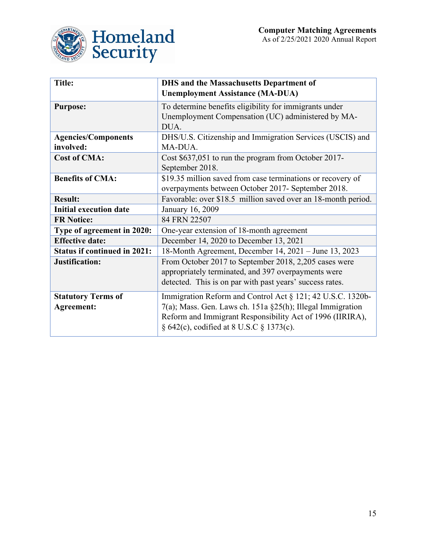

<span id="page-15-0"></span>

| <b>Title:</b>                           | <b>DHS</b> and the Massachusetts Department of<br><b>Unemployment Assistance (MA-DUA)</b>                                                                                                                                            |
|-----------------------------------------|--------------------------------------------------------------------------------------------------------------------------------------------------------------------------------------------------------------------------------------|
| <b>Purpose:</b>                         | To determine benefits eligibility for immigrants under<br>Unemployment Compensation (UC) administered by MA-<br>DUA.                                                                                                                 |
| <b>Agencies/Components</b><br>involved: | DHS/U.S. Citizenship and Immigration Services (USCIS) and<br>MA-DUA.                                                                                                                                                                 |
| <b>Cost of CMA:</b>                     | Cost \$637,051 to run the program from October 2017-<br>September 2018.                                                                                                                                                              |
| <b>Benefits of CMA:</b>                 | \$19.35 million saved from case terminations or recovery of<br>overpayments between October 2017- September 2018.                                                                                                                    |
| <b>Result:</b>                          | Favorable: over \$18.5 million saved over an 18-month period.                                                                                                                                                                        |
| <b>Initial execution date</b>           | January 16, 2009                                                                                                                                                                                                                     |
| <b>FR Notice:</b>                       | 84 FRN 22507                                                                                                                                                                                                                         |
| Type of agreement in 2020:              | One-year extension of 18-month agreement                                                                                                                                                                                             |
| <b>Effective date:</b>                  | December 14, 2020 to December 13, 2021                                                                                                                                                                                               |
| <b>Status if continued in 2021:</b>     | 18-Month Agreement, December 14, 2021 – June 13, 2023                                                                                                                                                                                |
| Justification:                          | From October 2017 to September 2018, 2,205 cases were<br>appropriately terminated, and 397 overpayments were<br>detected. This is on par with past years' success rates.                                                             |
| <b>Statutory Terms of</b><br>Agreement: | Immigration Reform and Control Act § 121; 42 U.S.C. 1320b-<br>$7(a)$ ; Mass. Gen. Laws ch. 151a §25(h); Illegal Immigration<br>Reform and Immigrant Responsibility Act of 1996 (IIRIRA),<br>§ 642(c), codified at 8 U.S.C § 1373(c). |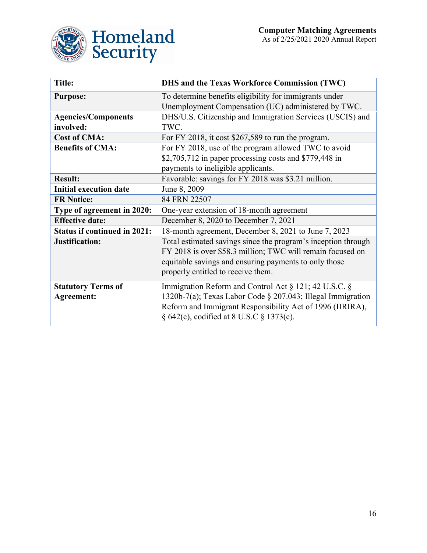

<span id="page-16-0"></span>

| <b>Title:</b>                                  | DHS and the Texas Workforce Commission (TWC)                                                                                                                                                                                  |
|------------------------------------------------|-------------------------------------------------------------------------------------------------------------------------------------------------------------------------------------------------------------------------------|
| <b>Purpose:</b>                                | To determine benefits eligibility for immigrants under<br>Unemployment Compensation (UC) administered by TWC.                                                                                                                 |
| <b>Agencies/Components</b><br>involved:        | DHS/U.S. Citizenship and Immigration Services (USCIS) and<br>TWC.                                                                                                                                                             |
| <b>Cost of CMA:</b>                            | For FY 2018, it cost \$267,589 to run the program.                                                                                                                                                                            |
| <b>Benefits of CMA:</b>                        | For FY 2018, use of the program allowed TWC to avoid<br>$$2,705,712$ in paper processing costs and $$779,448$ in<br>payments to ineligible applicants.                                                                        |
| <b>Result:</b>                                 | Favorable: savings for FY 2018 was \$3.21 million.                                                                                                                                                                            |
| <b>Initial execution date</b>                  | June 8, 2009                                                                                                                                                                                                                  |
| <b>FR Notice:</b>                              | 84 FRN 22507                                                                                                                                                                                                                  |
| Type of agreement in 2020:                     | One-year extension of 18-month agreement                                                                                                                                                                                      |
| <b>Effective date:</b>                         | December 8, 2020 to December 7, 2021                                                                                                                                                                                          |
| <b>Status if continued in 2021:</b>            | 18-month agreement, December 8, 2021 to June 7, 2023                                                                                                                                                                          |
| Justification:                                 | Total estimated savings since the program's inception through<br>FY 2018 is over \$58.3 million; TWC will remain focused on<br>equitable savings and ensuring payments to only those<br>properly entitled to receive them.    |
| <b>Statutory Terms of</b><br><b>Agreement:</b> | Immigration Reform and Control Act § 121; 42 U.S.C. §<br>1320b-7(a); Texas Labor Code § 207.043; Illegal Immigration<br>Reform and Immigrant Responsibility Act of 1996 (IIRIRA),<br>§ 642(c), codified at 8 U.S.C § 1373(c). |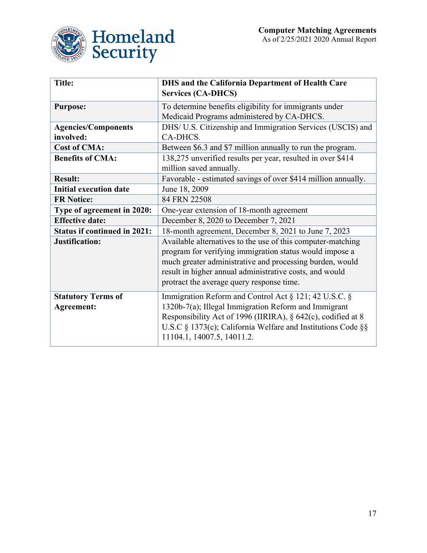

<span id="page-17-0"></span>

| <b>Title:</b>                                  | <b>DHS</b> and the California Department of Health Care<br><b>Services (CA-DHCS)</b>                                                                                                                                                                                                       |
|------------------------------------------------|--------------------------------------------------------------------------------------------------------------------------------------------------------------------------------------------------------------------------------------------------------------------------------------------|
| <b>Purpose:</b>                                | To determine benefits eligibility for immigrants under<br>Medicaid Programs administered by CA-DHCS.                                                                                                                                                                                       |
| <b>Agencies/Components</b><br>involved:        | DHS/ U.S. Citizenship and Immigration Services (USCIS) and<br>CA-DHCS.                                                                                                                                                                                                                     |
| <b>Cost of CMA:</b>                            | Between \$6.3 and \$7 million annually to run the program.                                                                                                                                                                                                                                 |
| <b>Benefits of CMA:</b>                        | 138,275 unverified results per year, resulted in over \$414<br>million saved annually.                                                                                                                                                                                                     |
| <b>Result:</b>                                 | Favorable - estimated savings of over \$414 million annually.                                                                                                                                                                                                                              |
| <b>Initial execution date</b>                  | June 18, 2009                                                                                                                                                                                                                                                                              |
| <b>FR Notice:</b>                              | 84 FRN 22508                                                                                                                                                                                                                                                                               |
| Type of agreement in 2020:                     | One-year extension of 18-month agreement                                                                                                                                                                                                                                                   |
| <b>Effective date:</b>                         | December 8, 2020 to December 7, 2021                                                                                                                                                                                                                                                       |
| <b>Status if continued in 2021:</b>            | 18-month agreement, December 8, 2021 to June 7, 2023                                                                                                                                                                                                                                       |
| Justification:                                 | Available alternatives to the use of this computer-matching<br>program for verifying immigration status would impose a<br>much greater administrative and processing burden, would<br>result in higher annual administrative costs, and would<br>protract the average query response time. |
| <b>Statutory Terms of</b><br><b>Agreement:</b> | Immigration Reform and Control Act § 121; 42 U.S.C. §<br>1320b-7(a); Illegal Immigration Reform and Immigrant<br>Responsibility Act of 1996 (IIRIRA), § 642(c), codified at 8<br>U.S.C § 1373(c); California Welfare and Institutions Code §§<br>11104.1, 14007.5, 14011.2.                |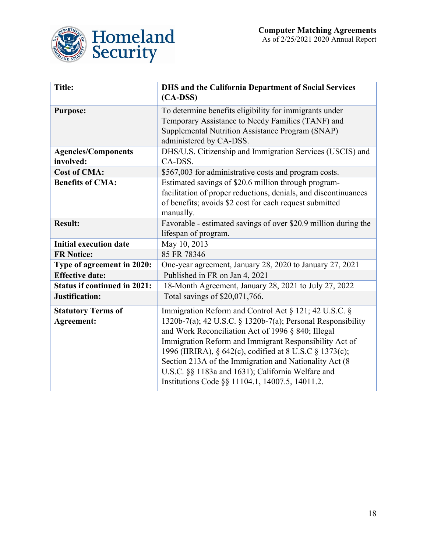

<span id="page-18-0"></span>

| <b>Title:</b>                       | <b>DHS and the California Department of Social Services</b><br>$(CA-DSS)$ |
|-------------------------------------|---------------------------------------------------------------------------|
|                                     |                                                                           |
| <b>Purpose:</b>                     | To determine benefits eligibility for immigrants under                    |
|                                     | Temporary Assistance to Needy Families (TANF) and                         |
|                                     | Supplemental Nutrition Assistance Program (SNAP)                          |
|                                     | administered by CA-DSS.                                                   |
| <b>Agencies/Components</b>          | DHS/U.S. Citizenship and Immigration Services (USCIS) and                 |
| involved:                           | CA-DSS.                                                                   |
| <b>Cost of CMA:</b>                 | \$567,003 for administrative costs and program costs.                     |
| <b>Benefits of CMA:</b>             | Estimated savings of \$20.6 million through program-                      |
|                                     | facilitation of proper reductions, denials, and discontinuances           |
|                                     | of benefits; avoids \$2 cost for each request submitted                   |
|                                     | manually.                                                                 |
| <b>Result:</b>                      | Favorable - estimated savings of over \$20.9 million during the           |
|                                     | lifespan of program.                                                      |
| <b>Initial execution date</b>       | May 10, 2013                                                              |
| <b>FR Notice:</b>                   | 85 FR 78346                                                               |
| Type of agreement in 2020:          | One-year agreement, January 28, 2020 to January 27, 2021                  |
| <b>Effective date:</b>              | Published in FR on Jan 4, 2021                                            |
| <b>Status if continued in 2021:</b> | 18-Month Agreement, January 28, 2021 to July 27, 2022                     |
| Justification:                      | Total savings of \$20,071,766.                                            |
| <b>Statutory Terms of</b>           | Immigration Reform and Control Act § 121; 42 U.S.C. §                     |
| <b>Agreement:</b>                   | 1320b-7(a); 42 U.S.C. § 1320b-7(a); Personal Responsibility               |
|                                     | and Work Reconciliation Act of 1996 § 840; Illegal                        |
|                                     | Immigration Reform and Immigrant Responsibility Act of                    |
|                                     | 1996 (IIRIRA), § 642(c), codified at 8 U.S.C § 1373(c);                   |
|                                     | Section 213A of the Immigration and Nationality Act (8)                   |
|                                     | U.S.C. §§ 1183a and 1631); California Welfare and                         |
|                                     | Institutions Code §§ 11104.1, 14007.5, 14011.2.                           |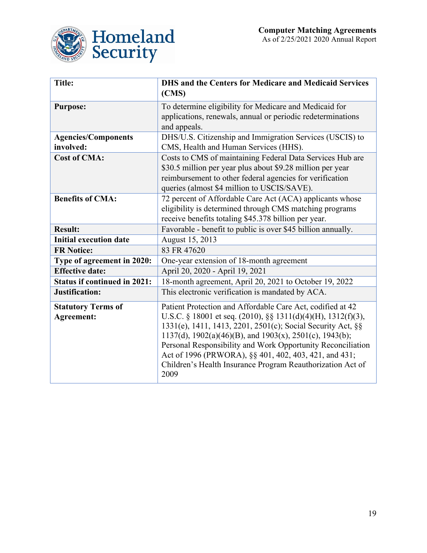

<span id="page-19-0"></span>

| <b>Title:</b>                       | <b>DHS and the Centers for Medicare and Medicaid Services</b><br>(CMS)      |
|-------------------------------------|-----------------------------------------------------------------------------|
| <b>Purpose:</b>                     | To determine eligibility for Medicare and Medicaid for                      |
|                                     | applications, renewals, annual or periodic redeterminations<br>and appeals. |
| <b>Agencies/Components</b>          | DHS/U.S. Citizenship and Immigration Services (USCIS) to                    |
| involved:                           | CMS, Health and Human Services (HHS).                                       |
| <b>Cost of CMA:</b>                 | Costs to CMS of maintaining Federal Data Services Hub are                   |
|                                     | \$30.5 million per year plus about \$9.28 million per year                  |
|                                     | reimbursement to other federal agencies for verification                    |
|                                     | queries (almost \$4 million to USCIS/SAVE).                                 |
| <b>Benefits of CMA:</b>             | 72 percent of Affordable Care Act (ACA) applicants whose                    |
|                                     | eligibility is determined through CMS matching programs                     |
|                                     | receive benefits totaling \$45.378 billion per year.                        |
| <b>Result:</b>                      | Favorable - benefit to public is over \$45 billion annually.                |
| <b>Initial execution date</b>       | August 15, 2013                                                             |
| <b>FR Notice:</b>                   | 83 FR 47620                                                                 |
| Type of agreement in 2020:          | One-year extension of 18-month agreement                                    |
| <b>Effective date:</b>              | April 20, 2020 - April 19, 2021                                             |
| <b>Status if continued in 2021:</b> | 18-month agreement, April 20, 2021 to October 19, 2022                      |
| Justification:                      | This electronic verification is mandated by ACA.                            |
| <b>Statutory Terms of</b>           | Patient Protection and Affordable Care Act, codified at 42                  |
| Agreement:                          | U.S.C. § 18001 et seq. (2010), §§ 1311(d)(4)(H), 1312(f)(3),                |
|                                     | 1331(e), 1411, 1413, 2201, 2501(c); Social Security Act, §§                 |
|                                     | 1137(d), 1902(a)(46)(B), and 1903(x), 2501(c), 1943(b);                     |
|                                     | Personal Responsibility and Work Opportunity Reconciliation                 |
|                                     | Act of 1996 (PRWORA), §§ 401, 402, 403, 421, and 431;                       |
|                                     | Children's Health Insurance Program Reauthorization Act of<br>2009          |